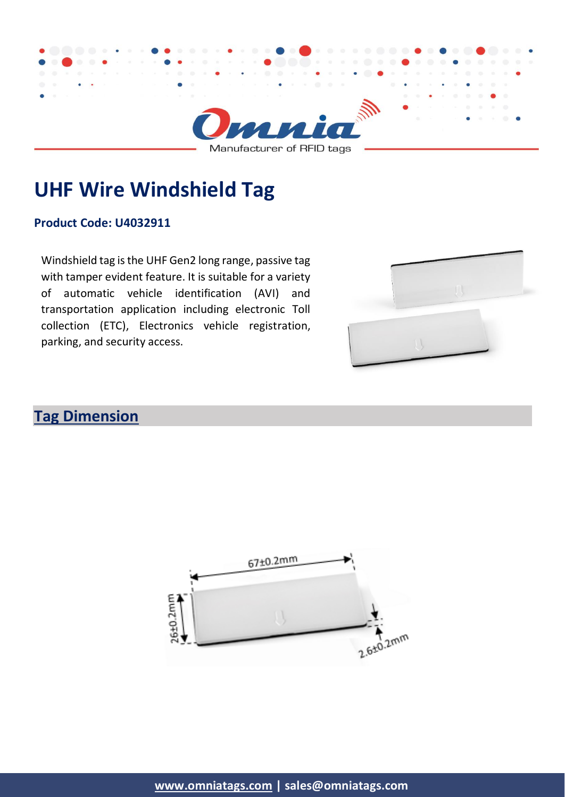

**UHF Wire Windshield Tag**

#### **Product Code: U4032911**

Windshield tag is the UHF Gen2 long range, passive tag with tamper evident feature. It is suitable for a variety of automatic vehicle identification (AVI) and transportation application including electronic Toll collection (ETC), Electronics vehicle registration, parking, and security access.



# **Tag Dimension**

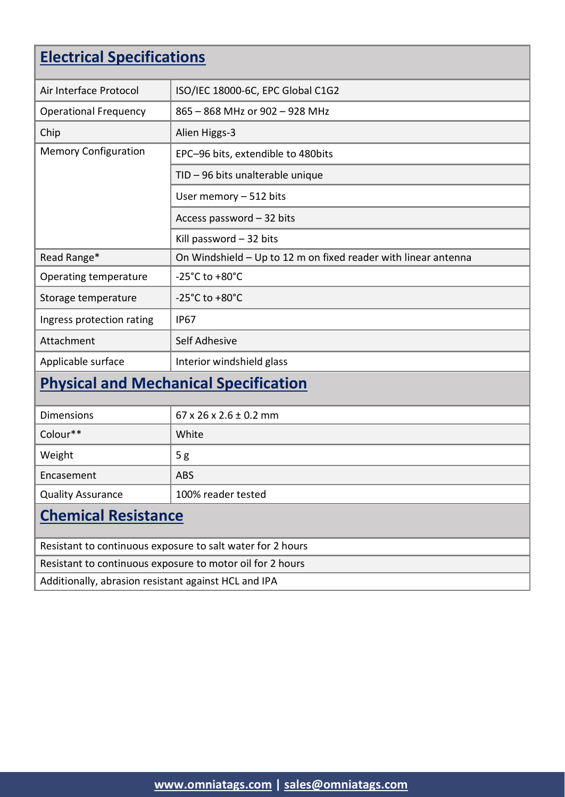# **Electrical Specifications**

| Air Interface Protocol                                     | ISO/IEC 18000-6C, EPC Global C1G2                              |  |
|------------------------------------------------------------|----------------------------------------------------------------|--|
| <b>Operational Frequency</b>                               | 865 - 868 MHz or 902 - 928 MHz                                 |  |
| Chip                                                       | Alien Higgs-3                                                  |  |
| <b>Memory Configuration</b>                                | EPC-96 bits, extendible to 480bits                             |  |
|                                                            | TID - 96 bits unalterable unique                               |  |
|                                                            | User memory - 512 bits                                         |  |
|                                                            | Access password - 32 bits                                      |  |
|                                                            | Kill password $-32$ bits                                       |  |
| Read Range*                                                | On Windshield - Up to 12 m on fixed reader with linear antenna |  |
| Operating temperature                                      | -25 $^{\circ}$ C to +80 $^{\circ}$ C                           |  |
| Storage temperature                                        | $-25^{\circ}$ C to $+80^{\circ}$ C                             |  |
| Ingress protection rating                                  | <b>IP67</b>                                                    |  |
| Attachment                                                 | Self Adhesive                                                  |  |
| Applicable surface                                         | Interior windshield glass                                      |  |
| <b>Physical and Mechanical Specification</b>               |                                                                |  |
| <b>Dimensions</b>                                          | $67$ x 26 x 2.6 $\pm$ 0.2 mm                                   |  |
| Colour**                                                   | White                                                          |  |
| Weight                                                     | 5g                                                             |  |
| Encasement                                                 | <b>ABS</b>                                                     |  |
| <b>Quality Assurance</b>                                   | 100% reader tested                                             |  |
| <b>Chemical Resistance</b>                                 |                                                                |  |
| Resistant to continuous exposure to salt water for 2 hours |                                                                |  |
| Resistant to continuous exposure to motor oil for 2 hours  |                                                                |  |
| Additionally, abrasion resistant against HCL and IPA       |                                                                |  |